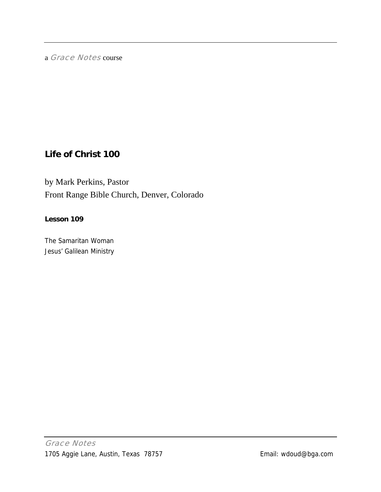a Grace Notes course

# **Life of Christ 100**

by Mark Perkins, Pastor Front Range Bible Church, Denver, Colorado

### **Lesson 109**

The Samaritan Woman Jesus' Galilean Ministry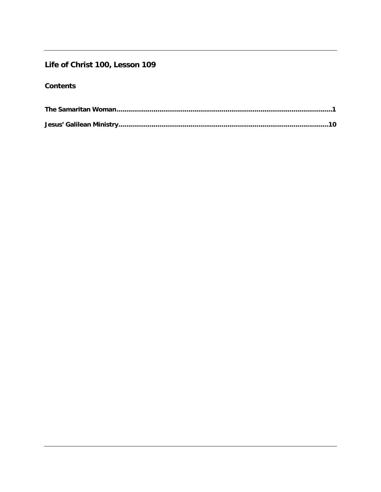## Life of Christ 100, Lesson 109

## **Contents**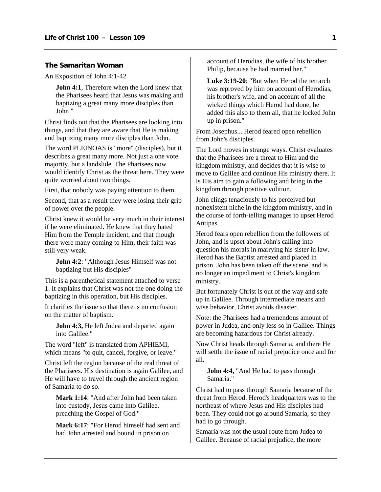#### <span id="page-2-0"></span>**The Samaritan Woman**

An Exposition of John 4:1-42

**John 4:1**, Therefore when the Lord knew that the Pharisees heard that Jesus was making and baptizing a great many more disciples than John "

Christ finds out that the Pharisees are looking into things, and that they are aware that He is making and baptizing many more disciples than John.

The word PLEINOAS is "more" (disciples), but it describes a great many more. Not just a one vote majority, but a landslide. The Pharisees now would identify Christ as the threat here. They were quite worried about two things.

First, that nobody was paying attention to them.

Second, that as a result they were losing their grip of power over the people.

Christ knew it would be very much in their interest if he were eliminated. He knew that they hated Him from the Temple incident, and that though there were many coming to Him, their faith was still very weak.

**John 4:2**: "Although Jesus Himself was not baptizing but His disciples"

This is a parenthetical statement attached to verse 1. It explains that Christ was not the one doing the baptizing in this operation, but His disciples.

It clarifies the issue so that there is no confusion on the matter of baptism.

**John 4:3, He left Judea and departed again** into Galilee."

The word "left" is translated from APHIEMI, which means "to quit, cancel, forgive, or leave."

Christ left the region because of the real threat of the Pharisees. His destination is again Galilee, and He will have to travel through the ancient region of Samaria to do so.

**Mark 1:14**: "And after John had been taken into custody, Jesus came into Galilee, preaching the Gospel of God."

**Mark 6:17**: "For Herod himself had sent and had John arrested and bound in prison on

account of Herodias, the wife of his brother Philip, because he had married her."

**Luke 3:19-20**: "But when Herod the tetrarch was reproved by him on account of Herodias, his brother's wife, and on account of all the wicked things which Herod had done, he added this also to them all, that he locked John up in prison."

From Josephus... Herod feared open rebellion from John's disciples.

The Lord moves in strange ways. Christ evaluates that the Pharisees are a threat to Him and the kingdom ministry, and decides that it is wise to move to Galilee and continue His ministry there. It is His aim to gain a following and bring in the kingdom through positive volition.

John clings tenaciously to his perceived but nonexistent niche in the kingdom ministry, and in the course of forth-telling manages to upset Herod Antipas.

Herod fears open rebellion from the followers of John, and is upset about John's calling into question his morals in marrying his sister in law. Herod has the Baptist arrested and placed in prison. John has been taken off the scene, and is no longer an impediment to Christ's kingdom ministry.

But fortunately Christ is out of the way and safe up in Galilee. Through intermediate means and wise behavior, Christ avoids disaster.

Note: the Pharisees had a tremendous amount of power in Judea, and only less so in Galilee. Things are becoming hazardous for Christ already.

Now Christ heads through Samaria, and there He will settle the issue of racial prejudice once and for all.

**John 4:4,** "And He had to pass through Samaria."

Christ had to pass through Samaria because of the threat from Herod. Herod's headquarters was to the northeast of where Jesus and His disciples had been. They could not go around Samaria, so they had to go through.

Samaria was not the usual route from Judea to Galilee. Because of racial prejudice, the more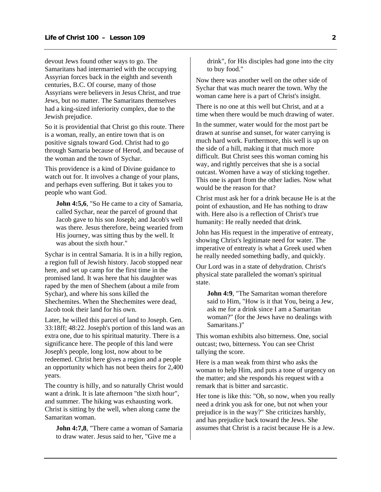devout Jews found other ways to go. The Samaritans had intermarried with the occupying Assyrian forces back in the eighth and seventh centuries, B.C. Of course, many of those Assyrians were believers in Jesus Christ, and true Jews, but no matter. The Samaritans themselves had a king-sized inferiority complex, due to the Jewish prejudice.

So it is providential that Christ go this route. There is a woman, really, an entire town that is on positive signals toward God. Christ had to go through Samaria because of Herod, and because of the woman and the town of Sychar.

This providence is a kind of Divine guidance to watch out for. It involves a change of your plans, and perhaps even suffering. But it takes you to people who want God.

**John 4:5,6**, "So He came to a city of Samaria, called Sychar, near the parcel of ground that Jacob gave to his son Joseph; and Jacob's well was there. Jesus therefore, being wearied from His journey, was sitting thus by the well. It was about the sixth hour."

Sychar is in central Samaria. It is in a hilly region, a region full of Jewish history. Jacob stopped near here, and set up camp for the first time in the promised land. It was here that his daughter was raped by the men of Shechem (about a mile from Sychar), and where his sons killed the Shechemites. When the Shechemites were dead, Jacob took their land for his own.

Later, he willed this parcel of land to Joseph. Gen. 33:18ff; 48:22. Joseph's portion of this land was an extra one, due to his spiritual maturity. There is a significance here. The people of this land were Joseph's people, long lost, now about to be redeemed. Christ here gives a region and a people an opportunity which has not been theirs for 2,400 years.

The country is hilly, and so naturally Christ would want a drink. It is late afternoon "the sixth hour", and summer. The hiking was exhausting work. Christ is sitting by the well, when along came the Samaritan woman.

**John 4:7,8**, "There came a woman of Samaria to draw water. Jesus said to her, "Give me a

drink", for His disciples had gone into the city to buy food."

Now there was another well on the other side of Sychar that was much nearer the town. Why the woman came here is a part of Christ's insight.

There is no one at this well but Christ, and at a time when there would be much drawing of water.

In the summer, water would for the most part be drawn at sunrise and sunset, for water carrying is much hard work. Furthermore, this well is up on the side of a hill, making it that much more difficult. But Christ sees this woman coming his way, and rightly perceives that she is a social outcast. Women have a way of sticking together. This one is apart from the other ladies. Now what would be the reason for that?

Christ must ask her for a drink because He is at the point of exhaustion, and He has nothing to draw with. Here also is a reflection of Christ's true humanity: He really needed that drink.

John has His request in the imperative of entreaty, showing Christ's legitimate need for water. The imperative of entreaty is what a Greek used when he really needed something badly, and quickly.

Our Lord was in a state of dehydration. Christ's physical state paralleled the woman's spiritual state.

**John 4:9.** "The Samaritan woman therefore said to Him, "How is it that You, being a Jew, ask me for a drink since I am a Samaritan woman?" (for the Jews have no dealings with Samaritans.)"

This woman exhibits also bitterness. One, social outcast; two, bitterness. You can see Christ tallying the score.

Here is a man weak from thirst who asks the woman to help Him, and puts a tone of urgency on the matter; and she responds his request with a remark that is bitter and sarcastic.

Her tone is like this: "Oh, so now, when you really need a drink you ask for one, but not when your prejudice is in the way?" She criticizes harshly, and has prejudice back toward the Jews. She assumes that Christ is a racist because He is a Jew.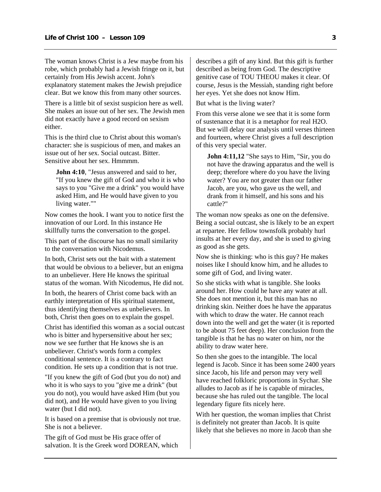The woman knows Christ is a Jew maybe from his robe, which probably had a Jewish fringe on it, but certainly from His Jewish accent. John's explanatory statement makes the Jewish prejudice clear. But we know this from many other sources.

There is a little bit of sexist suspicion here as well. She makes an issue out of her sex. The Jewish men did not exactly have a good record on sexism either.

This is the third clue to Christ about this woman's character: she is suspicious of men, and makes an issue out of her sex. Social outcast. Bitter. Sensitive about her sex. Hmmmm.

**John 4:10**, "Jesus answered and said to her, "If you knew the gift of God and who it is who says to you "Give me a drink" you would have asked Him, and He would have given to you living water.""

Now comes the hook. I want you to notice first the innovation of our Lord. In this instance He skillfully turns the conversation to the gospel.

This part of the discourse has no small similarity to the conversation with Nicodemus.

In both, Christ sets out the bait with a statement that would be obvious to a believer, but an enigma to an unbeliever. Here He knows the spiritual status of the woman. With Nicodemus, He did not.

In both, the hearers of Christ come back with an earthly interpretation of His spiritual statement, thus identifying themselves as unbelievers. In both, Christ then goes on to explain the gospel.

Christ has identified this woman as a social outcast who is bitter and hypersensitive about her sex; now we see further that He knows she is an unbeliever. Christ's words form a complex conditional sentence. It is a contrary to fact condition. He sets up a condition that is not true.

"If you knew the gift of God (but you do not) and who it is who says to you "give me a drink" (but you do not), you would have asked Him (but you did not), and He would have given to you living water (but I did not).

It is based on a premise that is obviously not true. She is not a believer.

The gift of God must be His grace offer of salvation. It is the Greek word DOREAN, which describes a gift of any kind. But this gift is further described as being from God. The descriptive genitive case of TOU THEOU makes it clear. Of course, Jesus is the Messiah, standing right before her eyes. Yet she does not know Him.

But what is the living water?

From this verse alone we see that it is some form of sustenance that it is a metaphor for real H2O. But we will delay our analysis until verses thirteen and fourteen, where Christ gives a full description of this very special water.

**John 4:11,12** "She says to Him, "Sir, you do not have the drawing apparatus and the well is deep; therefore where do you have the living water? You are not greater than our father Jacob, are you, who gave us the well, and drank from it himself, and his sons and his cattle?"

The woman now speaks as one on the defensive. Being a social outcast, she is likely to be an expert at repartee. Her fellow townsfolk probably hurl insults at her every day, and she is used to giving as good as she gets.

Now she is thinking: who is this guy? He makes noises like I should know him, and he alludes to some gift of God, and living water.

So she sticks with what is tangible. She looks around her. How could he have any water at all. She does not mention it, but this man has no drinking skin. Neither does he have the apparatus with which to draw the water. He cannot reach down into the well and get the water (it is reported to be about 75 feet deep). Her conclusion from the tangible is that he has no water on him, nor the ability to draw water here.

So then she goes to the intangible. The local legend is Jacob. Since it has been some 2400 years since Jacob, his life and person may very well have reached folkloric proportions in Sychar. She alludes to Jacob as if he is capable of miracles, because she has ruled out the tangible. The local legendary figure fits nicely here.

With her question, the woman implies that Christ is definitely not greater than Jacob. It is quite likely that she believes no more in Jacob than she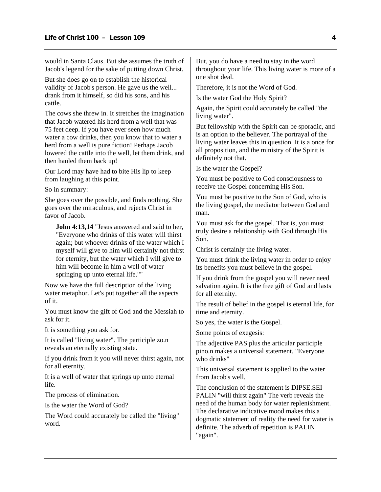would in Santa Claus. But she assumes the truth of Jacob's legend for the sake of putting down Christ.

But she does go on to establish the historical validity of Jacob's person. He gave us the well... drank from it himself, so did his sons, and his cattle.

The cows she threw in. It stretches the imagination that Jacob watered his herd from a well that was 75 feet deep. If you have ever seen how much water a cow drinks, then you know that to water a herd from a well is pure fiction! Perhaps Jacob lowered the cattle into the well, let them drink, and then hauled them back up!

Our Lord may have had to bite His lip to keep from laughing at this point.

So in summary:

She goes over the possible, and finds nothing. She goes over the miraculous, and rejects Christ in favor of Jacob.

**John 4:13,14** "Jesus answered and said to her, "Everyone who drinks of this water will thirst again; but whoever drinks of the water which I myself will give to him will certainly not thirst for eternity, but the water which I will give to him will become in him a well of water springing up unto eternal life.""

Now we have the full description of the living water metaphor. Let's put together all the aspects of it.

You must know the gift of God and the Messiah to ask for it.

It is something you ask for.

It is called "living water". The participle zo.n reveals an eternally existing state.

If you drink from it you will never thirst again, not for all eternity.

It is a well of water that springs up unto eternal life.

The process of elimination.

Is the water the Word of God?

The Word could accurately be called the "living" word.

But, you do have a need to stay in the word throughout your life. This living water is more of a one shot deal.

Therefore, it is not the Word of God.

Is the water God the Holy Spirit?

Again, the Spirit could accurately be called "the living water".

But fellowship with the Spirit can be sporadic, and is an option to the believer. The portrayal of the living water leaves this in question. It is a once for all proposition, and the ministry of the Spirit is definitely not that.

Is the water the Gospel?

You must be positive to God consciousness to receive the Gospel concerning His Son.

You must be positive to the Son of God, who is the living gospel, the mediator between God and man.

You must ask for the gospel. That is, you must truly desire a relationship with God through His Son.

Christ is certainly the living water.

You must drink the living water in order to enjoy its benefits you must believe in the gospel.

If you drink from the gospel you will never need salvation again. It is the free gift of God and lasts for all eternity.

The result of belief in the gospel is eternal life, for time and eternity.

So yes, the water is the Gospel.

Some points of exegesis:

The adjective PAS plus the articular participle pino.n makes a universal statement. "Everyone who drinks"

This universal statement is applied to the water from Jacob's well.

The conclusion of the statement is DIPSE.SEI PALIN "will thirst again" The verb reveals the need of the human body for water replenishment. The declarative indicative mood makes this a dogmatic statement of reality the need for water is definite. The adverb of repetition is PALIN "again".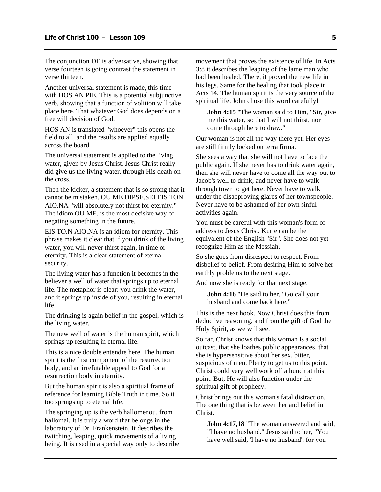The conjunction DE is adversative, showing that verse fourteen is going contrast the statement in verse thirteen.

Another universal statement is made, this time with HOS AN PIE. This is a potential subjunctive verb, showing that a function of volition will take place here. That whatever God does depends on a free will decision of God.

HOS AN is translated "whoever" this opens the field to all, and the results are applied equally across the board.

The universal statement is applied to the living water, given by Jesus Christ. Jesus Christ really did give us the living water, through His death on the cross.

Then the kicker, a statement that is so strong that it cannot be mistaken. OU ME DIPSE.SEI EIS TON AIO.NA "will absolutely not thirst for eternity." The idiom OU ME. is the most decisive way of negating something in the future.

EIS TO.N AIO.NA is an idiom for eternity. This phrase makes it clear that if you drink of the living water, you will never thirst again, in time or eternity. This is a clear statement of eternal security.

The living water has a function it becomes in the believer a well of water that springs up to eternal life. The metaphor is clear: you drink the water, and it springs up inside of you, resulting in eternal life.

The drinking is again belief in the gospel, which is the living water.

The new well of water is the human spirit, which springs up resulting in eternal life.

This is a nice double entendre here. The human spirit is the first component of the resurrection body, and an irrefutable appeal to God for a resurrection body in eternity.

But the human spirit is also a spiritual frame of reference for learning Bible Truth in time. So it too springs up to eternal life.

The springing up is the verb hallomenou, from hallomai. It is truly a word that belongs in the laboratory of Dr. Frankenstein. It describes the twitching, leaping, quick movements of a living being. It is used in a special way only to describe movement that proves the existence of life. In Acts 3:8 it describes the leaping of the lame man who had been healed. There, it proved the new life in his legs. Same for the healing that took place in Acts 14. The human spirit is the very source of the spiritual life. John chose this word carefully!

**John 4:15** "The woman said to Him, "Sir, give me this water, so that I will not thirst, nor come through here to draw."

Our woman is not all the way there yet. Her eyes are still firmly locked on terra firma.

She sees a way that she will not have to face the public again. If she never has to drink water again, then she will never have to come all the way out to Jacob's well to drink, and never have to walk through town to get here. Never have to walk under the disapproving glares of her townspeople. Never have to be ashamed of her own sinful activities again.

You must be careful with this woman's form of address to Jesus Christ. Kurie can be the equivalent of the English "Sir". She does not yet recognize Him as the Messiah.

So she goes from disrespect to respect. From disbelief to belief. From desiring Him to solve her earthly problems to the next stage.

And now she is ready for that next stage.

**John 4:16** "He said to her, "Go call your husband and come back here."

This is the next hook. Now Christ does this from deductive reasoning, and from the gift of God the Holy Spirit, as we will see.

So far, Christ knows that this woman is a social outcast, that she loathes public appearances, that she is hypersensitive about her sex, bitter, suspicious of men. Plenty to get us to this point. Christ could very well work off a hunch at this point. But, He will also function under the spiritual gift of prophecy.

Christ brings out this woman's fatal distraction. The one thing that is between her and belief in Christ.

**John 4:17,18** "The woman answered and said, "I have no husband." Jesus said to her, "You have well said, 'I have no husband'; for you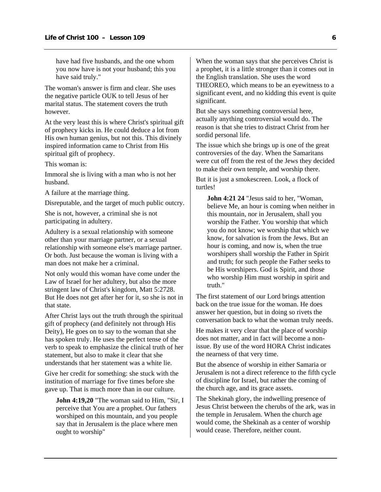have had five husbands, and the one whom you now have is not your husband; this you have said truly."

The woman's answer is firm and clear. She uses the negative particle OUK to tell Jesus of her marital status. The statement covers the truth however.

At the very least this is where Christ's spiritual gift of prophecy kicks in. He could deduce a lot from His own human genius, but not this. This divinely inspired information came to Christ from His spiritual gift of prophecy.

This woman is:

Immoral she is living with a man who is not her husband.

A failure at the marriage thing.

Disreputable, and the target of much public outcry.

She is not, however, a criminal she is not participating in adultery.

Adultery is a sexual relationship with someone other than your marriage partner, or a sexual relationship with someone else's marriage partner. Or both. Just because the woman is living with a man does not make her a criminal.

Not only would this woman have come under the Law of Israel for her adultery, but also the more stringent law of Christ's kingdom, Matt 5:2728. But He does not get after her for it, so she is not in that state.

After Christ lays out the truth through the spiritual gift of prophecy (and definitely not through His Deity), He goes on to say to the woman that she has spoken truly. He uses the perfect tense of the verb to speak to emphasize the clinical truth of her statement, but also to make it clear that she understands that her statement was a white lie.

Give her credit for something: she stuck with the institution of marriage for five times before she gave up. That is much more than in our culture.

**John 4:19,20** "The woman said to Him, "Sir, I perceive that You are a prophet. Our fathers worshiped on this mountain, and you people say that in Jerusalem is the place where men ought to worship"

When the woman says that she perceives Christ is a prophet, it is a little stronger than it comes out in the English translation. She uses the word THEOREO, which means to be an eyewitness to a significant event, and no kidding this event is quite significant.

But she says something controversial here, actually anything controversial would do. The reason is that she tries to distract Christ from her sordid personal life.

The issue which she brings up is one of the great controversies of the day. When the Samaritans were cut off from the rest of the Jews they decided to make their own temple, and worship there.

But it is just a smokescreen. Look, a flock of turtles!

**John 4:21 24** "Jesus said to her, "Woman, believe Me, an hour is coming when neither in this mountain, nor in Jerusalem, shall you worship the Father. You worship that which you do not know; we worship that which we know, for salvation is from the Jews. But an hour is coming, and now is, when the true worshipers shall worship the Father in Spirit and truth; for such people the Father seeks to be His worshipers. God is Spirit, and those who worship Him must worship in spirit and truth."

The first statement of our Lord brings attention back on the true issue for the woman. He does answer her question, but in doing so rivets the conversation back to what the woman truly needs.

He makes it very clear that the place of worship does not matter, and in fact will become a nonissue. By use of the word HORA Christ indicates the nearness of that very time.

But the absence of worship in either Samaria or Jerusalem is not a direct reference to the fifth cycle of discipline for Israel, but rather the coming of the church age, and its grace assets.

The Shekinah glory, the indwelling presence of Jesus Christ between the cherubs of the ark, was in the temple in Jerusalem. When the church age would come, the Shekinah as a center of worship would cease. Therefore, neither count.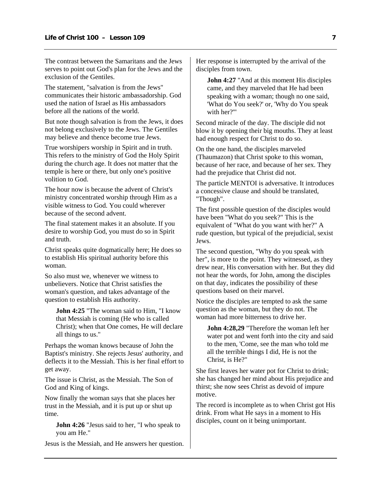The contrast between the Samaritans and the Jews serves to point out God's plan for the Jews and the exclusion of the Gentiles.

The statement, "salvation is from the Jews" communicates their historic ambassadorship. God used the nation of Israel as His ambassadors before all the nations of the world.

But note though salvation is from the Jews, it does not belong exclusively to the Jews. The Gentiles may believe and thence become true Jews.

True worshipers worship in Spirit and in truth. This refers to the ministry of God the Holy Spirit during the church age. It does not matter that the temple is here or there, but only one's positive volition to God.

The hour now is because the advent of Christ's ministry concentrated worship through Him as a visible witness to God. You could wherever because of the second advent.

The final statement makes it an absolute. If you desire to worship God, you must do so in Spirit and truth.

Christ speaks quite dogmatically here; He does so to establish His spiritual authority before this woman.

So also must we, whenever we witness to unbelievers. Notice that Christ satisfies the woman's question, and takes advantage of the question to establish His authority.

**John 4:25** "The woman said to Him, "I know that Messiah is coming (He who is called Christ); when that One comes, He will declare all things to us."

Perhaps the woman knows because of John the Baptist's ministry. She rejects Jesus' authority, and deflects it to the Messiah. This is her final effort to get away.

The issue is Christ, as the Messiah. The Son of God and King of kings.

Now finally the woman says that she places her trust in the Messiah, and it is put up or shut up time.

**John 4:26** "Jesus said to her, "I who speak to you am He."

Jesus is the Messiah, and He answers her question.

Her response is interrupted by the arrival of the disciples from town.

**John 4:27** "And at this moment His disciples" came, and they marveled that He had been speaking with a woman; though no one said, 'What do You seek?' or, 'Why do You speak with her?'"

Second miracle of the day. The disciple did not blow it by opening their big mouths. They at least had enough respect for Christ to do so.

On the one hand, the disciples marveled (Thaumazon) that Christ spoke to this woman, because of her race, and because of her sex. They had the prejudice that Christ did not.

The particle MENTOI is adversative. It introduces a concessive clause and should be translated, "Though".

The first possible question of the disciples would have been "What do you seek?" This is the equivalent of "What do you want with her?" A rude question, but typical of the prejudicial, sexist Jews.

The second question, "Why do you speak with her", is more to the point. They witnessed, as they drew near, His conversation with her. But they did not hear the words, for John, among the disciples on that day, indicates the possibility of these questions based on their marvel.

Notice the disciples are tempted to ask the same question as the woman, but they do not. The woman had more bitterness to drive her.

**John 4:28,29** "Therefore the woman left her water pot and went forth into the city and said to the men, 'Come, see the man who told me all the terrible things I did, He is not the Christ, is He?"

She first leaves her water pot for Christ to drink; she has changed her mind about His prejudice and thirst; she now sees Christ as devoid of impure motive.

The record is incomplete as to when Christ got His drink. From what He says in a moment to His disciples, count on it being unimportant.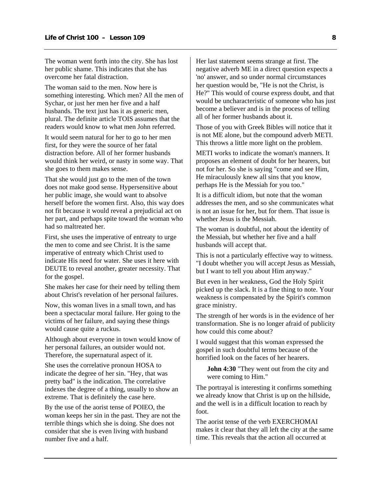The woman went forth into the city. She has lost her public shame. This indicates that she has overcome her fatal distraction.

The woman said to the men. Now here is something interesting. Which men? All the men of Sychar, or just her men her five and a half husbands. The text just has it as generic men, plural. The definite article TOIS assumes that the readers would know to what men John referred.

It would seem natural for her to go to her men first, for they were the source of her fatal distraction before. All of her former husbands would think her weird, or nasty in some way. That she goes to them makes sense.

That she would just go to the men of the town does not make good sense. Hypersensitive about her public image, she would want to absolve herself before the women first. Also, this way does not fit because it would reveal a prejudicial act on her part, and perhaps spite toward the woman who had so maltreated her.

First, she uses the imperative of entreaty to urge the men to come and see Christ. It is the same imperative of entreaty which Christ used to indicate His need for water. She uses it here with DEUTE to reveal another, greater necessity. That for the gospel.

She makes her case for their need by telling them about Christ's revelation of her personal failures.

Now, this woman lives in a small town, and has been a spectacular moral failure. Her going to the victims of her failure, and saying these things would cause quite a ruckus.

Although about everyone in town would know of her personal failures, an outsider would not. Therefore, the supernatural aspect of it.

She uses the correlative pronoun HOSA to indicate the degree of her sin. "Hey, that was pretty bad" is the indication. The correlative indexes the degree of a thing, usually to show an extreme. That is definitely the case here.

By the use of the aorist tense of POIEO, the woman keeps her sin in the past. They are not the terrible things which she is doing. She does not consider that she is even living with husband number five and a half.

Her last statement seems strange at first. The negative adverb ME in a direct question expects a 'no' answer, and so under normal circumstances her question would be, "He is not the Christ, is He?" This would of course express doubt, and that would be uncharacteristic of someone who has just become a believer and is in the process of telling all of her former husbands about it.

Those of you with Greek Bibles will notice that it is not ME alone, but the compound adverb METI. This throws a little more light on the problem.

METI works to indicate the woman's manners. It proposes an element of doubt for her hearers, but not for her. So she is saying "come and see Him, He miraculously knew all sins that you know, perhaps He is the Messiah for you too."

It is a difficult idiom, but note that the woman addresses the men, and so she communicates what is not an issue for her, but for them. That issue is whether Jesus is the Messiah.

The woman is doubtful, not about the identity of the Messiah, but whether her five and a half husbands will accept that.

This is not a particularly effective way to witness. "I doubt whether you will accept Jesus as Messiah, but I want to tell you about Him anyway."

But even in her weakness, God the Holy Spirit picked up the slack. It is a fine thing to note. Your weakness is compensated by the Spirit's common grace ministry.

The strength of her words is in the evidence of her transformation. She is no longer afraid of publicity how could this come about?

I would suggest that this woman expressed the gospel in such doubtful terms because of the horrified look on the faces of her hearers.

**John 4:30** "They went out from the city and were coming to Him."

The portrayal is interesting it confirms something we already know that Christ is up on the hillside, and the well is in a difficult location to reach by foot.

The aorist tense of the verb EXERCHOMAI makes it clear that they all left the city at the same time. This reveals that the action all occurred at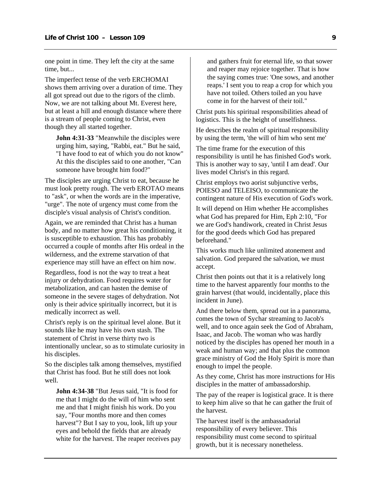one point in time. They left the city at the same time, but...

The imperfect tense of the verb ERCHOMAI shows them arriving over a duration of time. They all got spread out due to the rigors of the climb. Now, we are not talking about Mt. Everest here, but at least a hill and enough distance where there is a stream of people coming to Christ, even though they all started together.

**John 4:31-33** "Meanwhile the disciples were urging him, saying, "Rabbi, eat." But he said, "I have food to eat of which you do not know" At this the disciples said to one another, "Can someone have brought him food?"

The disciples are urging Christ to eat, because he must look pretty rough. The verb EROTAO means to "ask", or when the words are in the imperative, "urge". The note of urgency must come from the disciple's visual analysis of Christ's condition.

Again, we are reminded that Christ has a human body, and no matter how great his conditioning, it is susceptible to exhaustion. This has probably occurred a couple of months after His ordeal in the wilderness, and the extreme starvation of that experience may still have an effect on him now.

Regardless, food is not the way to treat a heat injury or dehydration. Food requires water for metabolization, and can hasten the demise of someone in the severe stages of dehydration. Not only is their advice spiritually incorrect, but it is medically incorrect as well.

Christ's reply is on the spiritual level alone. But it sounds like he may have his own stash. The statement of Christ in verse thirty two is intentionally unclear, so as to stimulate curiosity in his disciples.

So the disciples talk among themselves, mystified that Christ has food. But he still does not look well.

**John 4:34-38** "But Jesus said, "It is food for me that I might do the will of him who sent me and that I might finish his work. Do you say, "Four months more and then comes harvest"? But I say to you, look, lift up your eyes and behold the fields that are already white for the harvest. The reaper receives pay and gathers fruit for eternal life, so that sower and reaper may rejoice together. That is how the saying comes true: 'One sows, and another reaps.' I sent you to reap a crop for which you have not toiled. Others toiled an you have come in for the harvest of their toil."

Christ puts his spiritual responsibilities ahead of logistics. This is the height of unselfishness.

He describes the realm of spiritual responsibility by using the term, 'the will of him who sent me'

The time frame for the execution of this responsibility is until he has finished God's work. This is another way to say, 'until I am dead'. Our lives model Christ's in this regard.

Christ employs two aorist subjunctive verbs, POIESO and TELEISO, to communicate the contingent nature of His execution of God's work.

It will depend on Him whether He accomplishes what God has prepared for Him, Eph 2:10, "For we are God's handiwork, created in Christ Jesus for the good deeds which God has prepared beforehand."

This works much like unlimited atonement and salvation. God prepared the salvation, we must accept.

Christ then points out that it is a relatively long time to the harvest apparently four months to the grain harvest (that would, incidentally, place this incident in June).

And there below them, spread out in a panorama, comes the town of Sychar streaming to Jacob's well, and to once again seek the God of Abraham, Isaac, and Jacob. The woman who was hardly noticed by the disciples has opened her mouth in a weak and human way; and that plus the common grace ministry of God the Holy Spirit is more than enough to impel the people.

As they come, Christ has more instructions for His disciples in the matter of ambassadorship.

The pay of the reaper is logistical grace. It is there to keep him alive so that he can gather the fruit of the harvest.

The harvest itself is the ambassadorial responsibility of every believer. This responsibility must come second to spiritual growth, but it is necessary nonetheless.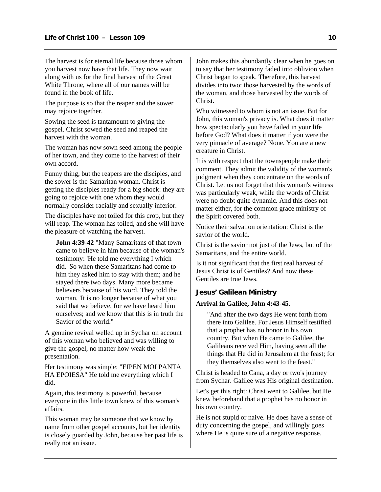<span id="page-11-0"></span>The harvest is for eternal life because those whom you harvest now have that life. They now wait along with us for the final harvest of the Great White Throne, where all of our names will be found in the book of life.

The purpose is so that the reaper and the sower may rejoice together.

Sowing the seed is tantamount to giving the gospel. Christ sowed the seed and reaped the harvest with the woman.

The woman has now sown seed among the people of her town, and they come to the harvest of their own accord.

Funny thing, but the reapers are the disciples, and the sower is the Samaritan woman. Christ is getting the disciples ready for a big shock: they are going to rejoice with one whom they would normally consider racially and sexually inferior.

The disciples have not toiled for this crop, but they will reap. The woman has toiled, and she will have the pleasure of watching the harvest.

**John 4:39-42** "Many Samaritans of that town came to believe in him because of the woman's testimony: 'He told me everything I which did.' So when these Samaritans had come to him they asked him to stay with them; and he stayed there two days. Many more became believers because of his word. They told the woman, 'It is no longer because of what you said that we believe, for we have heard him ourselves; and we know that this is in truth the Savior of the world."

A genuine revival welled up in Sychar on account of this woman who believed and was willing to give the gospel, no matter how weak the presentation.

Her testimony was simple: "EIPEN MOI PANTA HA EPOIESA" He told me everything which I did.

Again, this testimony is powerful, because everyone in this little town knew of this woman's affairs.

This woman may be someone that we know by name from other gospel accounts, but her identity is closely guarded by John, because her past life is really not an issue.

John makes this abundantly clear when he goes on to say that her testimony faded into oblivion when Christ began to speak. Therefore, this harvest divides into two: those harvested by the words of the woman, and those harvested by the words of Christ.

Who witnessed to whom is not an issue. But for John, this woman's privacy is. What does it matter how spectacularly you have failed in your life before God? What does it matter if you were the very pinnacle of average? None. You are a new creature in Christ.

It is with respect that the townspeople make their comment. They admit the validity of the woman's judgment when they concentrate on the words of Christ. Let us not forget that this woman's witness was particularly weak, while the words of Christ were no doubt quite dynamic. And this does not matter either, for the common grace ministry of the Spirit covered both.

Notice their salvation orientation: Christ is the savior of the world.

Christ is the savior not just of the Jews, but of the Samaritans, and the entire world.

Is it not significant that the first real harvest of Jesus Christ is of Gentiles? And now these Gentiles are true Jews.

#### **Jesus' Galilean Ministry**

#### **Arrival in Galilee, John 4:43-45.**

"And after the two days He went forth from there into Galilee. For Jesus Himself testified that a prophet has no honor in his own country. But when He came to Galilee, the Galileans received Him, having seen all the things that He did in Jerusalem at the feast; for they themselves also went to the feast."

Christ is headed to Cana, a day or two's journey from Sychar. Galilee was His original destination.

Let's get this right: Christ went to Galilee, but He knew beforehand that a prophet has no honor in his own country.

He is not stupid or naive. He does have a sense of duty concerning the gospel, and willingly goes where He is quite sure of a negative response.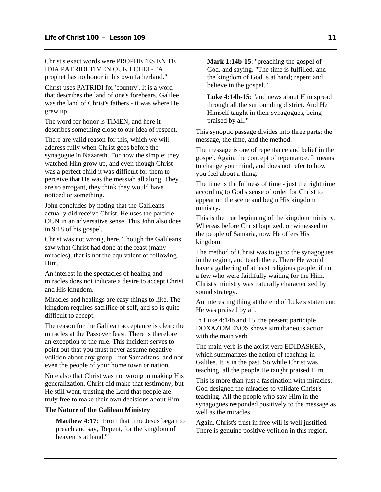Christ's exact words were PROPHETES EN TE IDIA PATRIDI TIMEN OUK ECHEI - "A prophet has no honor in his own fatherland."

Christ uses PATRIDI for 'country'. It is a word that describes the land of one's forebears. Galilee was the land of Christ's fathers - it was where He grew up.

The word for honor is TIMEN, and here it describes something close to our idea of respect.

There are valid reason for this, which we will address fully when Christ goes before the synagogue in Nazareth. For now the simple: they watched Him grow up, and even though Christ was a perfect child it was difficult for them to perceive that He was the messiah all along. They are so arrogant, they think they would have noticed or something.

John concludes by noting that the Galileans actually did receive Christ. He uses the particle OUN in an adversative sense. This John also does in 9:18 of his gospel.

Christ was not wrong, here. Though the Galileans saw what Christ had done at the feast (many miracles), that is not the equivalent of following Him.

An interest in the spectacles of healing and miracles does not indicate a desire to accept Christ and His kingdom.

Miracles and healings are easy things to like. The kingdom requires sacrifice of self, and so is quite difficult to accept.

The reason for the Galilean acceptance is clear: the miracles at the Passover feast. There is therefore an exception to the rule. This incident serves to point out that you must never assume negative volition about any group - not Samaritans, and not even the people of your home town or nation.

Note also that Christ was not wrong in making His generalization. Christ did make that testimony, but He still went, trusting the Lord that people are truly free to make their own decisions about Him.

#### **The Nature of the Galilean Ministry**

**Matthew 4:17**: "From that time Jesus began to preach and say, 'Repent, for the kingdom of heaven is at hand.'"

**Mark 1:14b-15**: "preaching the gospel of God, and saying, "The time is fulfilled, and the kingdom of God is at hand; repent and believe in the gospel."

**Luke 4:14b-15**: "and news about Him spread through all the surrounding district. And He Himself taught in their synagogues, being praised by all."

This synoptic passage divides into three parts: the message, the time, and the method.

The message is one of repentance and belief in the gospel. Again, the concept of repentance. It means to change your mind, and does not refer to how you feel about a thing.

The time is the fullness of time - just the right time according to God's sense of order for Christ to appear on the scene and begin His kingdom ministry.

This is the true beginning of the kingdom ministry. Whereas before Christ baptized, or witnessed to the people of Samaria, now He offers His kingdom.

The method of Christ was to go to the synagogues in the region, and teach there. There He would have a gathering of at least religious people, if not a few who were faithfully waiting for the Him. Christ's ministry was naturally characterized by sound strategy.

An interesting thing at the end of Luke's statement: He was praised by all.

In Luke 4:14b and 15, the present participle DOXAZOMENOS shows simultaneous action with the main verb.

The main verb is the aorist verb EDIDASKEN, which summarizes the action of teaching in Galilee. It is in the past. So while Christ was teaching, all the people He taught praised Him.

This is more than just a fascination with miracles. God designed the miracles to validate Christ's teaching. All the people who saw Him in the synagogues responded positively to the message as well as the miracles.

Again, Christ's trust in free will is well justified. There is genuine positive volition in this region.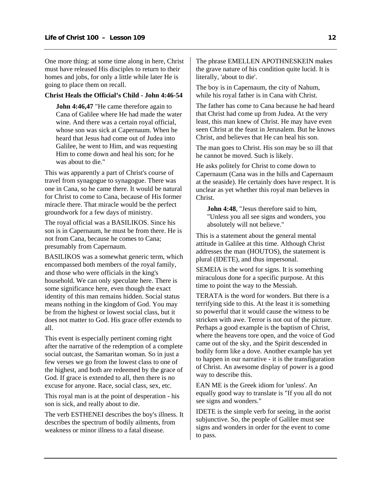One more thing: at some time along in here, Christ must have released His disciples to return to their homes and jobs, for only a little while later He is going to place them on recall.

#### **Christ Heals the Official's Child - John 4:46-54**

**John 4:46,47** "He came therefore again to Cana of Galilee where He had made the water wine. And there was a certain royal official, whose son was sick at Capernaum. When he heard that Jesus had come out of Judea into Galilee, he went to Him, and was requesting Him to come down and heal his son; for he was about to die."

This was apparently a part of Christ's course of travel from synagogue to synagogue. There was one in Cana, so he came there. It would be natural for Christ to come to Cana, because of His former miracle there. That miracle would be the perfect groundwork for a few days of ministry.

The royal official was a BASILIKOS. Since his son is in Capernaum, he must be from there. He is not from Cana, because he comes to Cana; presumably from Capernaum.

BASILIKOS was a somewhat generic term, which encompassed both members of the royal family, and those who were officials in the king's household. We can only speculate here. There is some significance here, even though the exact identity of this man remains hidden. Social status means nothing in the kingdom of God. You may be from the highest or lowest social class, but it does not matter to God. His grace offer extends to all.

This event is especially pertinent coming right after the narrative of the redemption of a complete social outcast, the Samaritan woman. So in just a few verses we go from the lowest class to one of the highest, and both are redeemed by the grace of God. If grace is extended to all, then there is no excuse for anyone. Race, social class, sex, etc.

This royal man is at the point of desperation - his son is sick, and really about to die.

The verb ESTHENEI describes the boy's illness. It describes the spectrum of bodily ailments, from weakness or minor illness to a fatal disease.

The phrase EMELLEN APOTHNESKEIN makes the grave nature of his condition quite lucid. It is literally, 'about to die'.

The boy is in Capernaum, the city of Nahum, while his royal father is in Cana with Christ.

The father has come to Cana because he had heard that Christ had come up from Judea. At the very least, this man knew of Christ. He may have even seen Christ at the feast in Jerusalem. But he knows Christ, and believes that He can heal his son.

The man goes to Christ. His son may be so ill that he cannot be moved. Such is likely.

He asks politely for Christ to come down to Capernaum (Cana was in the hills and Capernaum at the seaside). He certainly does have respect. It is unclear as yet whether this royal man believes in Christ.

**John 4:48**, "Jesus therefore said to him, "Unless you all see signs and wonders, you absolutely will not believe."

This is a statement about the general mental attitude in Galilee at this time. Although Christ addresses the man (HOUTOS), the statement is plural (IDETE), and thus impersonal.

SEMEIA is the word for signs. It is something miraculous done for a specific purpose. At this time to point the way to the Messiah.

TERATA is the word for wonders. But there is a terrifying side to this. At the least it is something so powerful that it would cause the witness to be stricken with awe. Terror is not out of the picture. Perhaps a good example is the baptism of Christ, where the heavens tore open, and the voice of God came out of the sky, and the Spirit descended in bodily form like a dove. Another example has yet to happen in our narrative - it is the transfiguration of Christ. An awesome display of power is a good way to describe this.

EAN ME is the Greek idiom for 'unless'. An equally good way to translate is "If you all do not see signs and wonders."

IDETE is the simple verb for seeing, in the aorist subjunctive. So, the people of Galilee must see signs and wonders in order for the event to come to pass.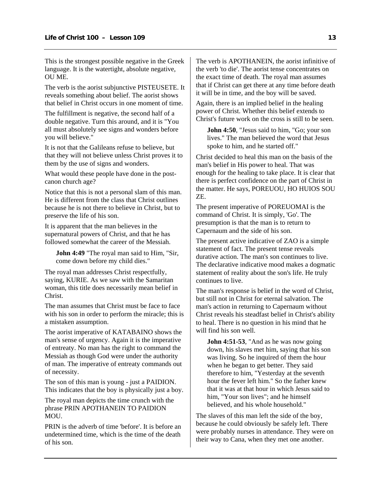This is the strongest possible negative in the Greek language. It is the watertight, absolute negative, OU ME.

The verb is the aorist subjunctive PISTEUSETE. It reveals something about belief. The aorist shows that belief in Christ occurs in one moment of time.

The fulfillment is negative, the second half of a double negative. Turn this around, and it is "You all must absolutely see signs and wonders before you will believe."

It is not that the Galileans refuse to believe, but that they will not believe unless Christ proves it to them by the use of signs and wonders.

What would these people have done in the postcanon church age?

Notice that this is not a personal slam of this man. He is different from the class that Christ outlines because he is not there to believe in Christ, but to preserve the life of his son.

It is apparent that the man believes in the supernatural powers of Christ, and that he has followed somewhat the career of the Messiah.

**John 4:49** "The royal man said to Him, "Sir, come down before my child dies."

The royal man addresses Christ respectfully, saying, KURIE. As we saw with the Samaritan woman, this title does necessarily mean belief in Christ.

The man assumes that Christ must be face to face with his son in order to perform the miracle; this is a mistaken assumption.

The aorist imperative of KATABAINO shows the man's sense of urgency. Again it is the imperative of entreaty. No man has the right to command the Messiah as though God were under the authority of man. The imperative of entreaty commands out of necessity.

The son of this man is young - just a PAIDION. This indicates that the boy is physically just a boy.

The royal man depicts the time crunch with the phrase PRIN APOTHANEIN TO PAIDION MOU.

PRIN is the adverb of time 'before'. It is before an undetermined time, which is the time of the death of his son.

The verb is APOTHANEIN, the aorist infinitive of the verb 'to die'. The aorist tense concentrates on the exact time of death. The royal man assumes that if Christ can get there at any time before death it will be in time, and the boy will be saved.

Again, there is an implied belief in the healing power of Christ. Whether this belief extends to Christ's future work on the cross is still to be seen.

**John 4:50**, "Jesus said to him, "Go; your son lives." The man believed the word that Jesus spoke to him, and he started off."

Christ decided to heal this man on the basis of the man's belief in His power to heal. That was enough for the healing to take place. It is clear that there is perfect confidence on the part of Christ in the matter. He says, POREUOU, HO HUIOS SOU ZE.

The present imperative of POREUOMAI is the command of Christ. It is simply, 'Go'. The presumption is that the man is to return to Capernaum and the side of his son.

The present active indicative of ZAO is a simple statement of fact. The present tense reveals durative action. The man's son continues to live. The declarative indicative mood makes a dogmatic statement of reality about the son's life. He truly continues to live.

The man's response is belief in the word of Christ, but still not in Christ for eternal salvation. The man's action in returning to Capernaum without Christ reveals his steadfast belief in Christ's ability to heal. There is no question in his mind that he will find his son well.

**John 4:51-53**, "And as he was now going down, his slaves met him, saying that his son was living. So he inquired of them the hour when he began to get better. They said therefore to him, "Yesterday at the seventh hour the fever left him." So the father knew that it was at that hour in which Jesus said to him, "Your son lives"; and he himself believed, and his whole household."

The slaves of this man left the side of the boy, because he could obviously be safely left. There were probably nurses in attendance. They were on their way to Cana, when they met one another.